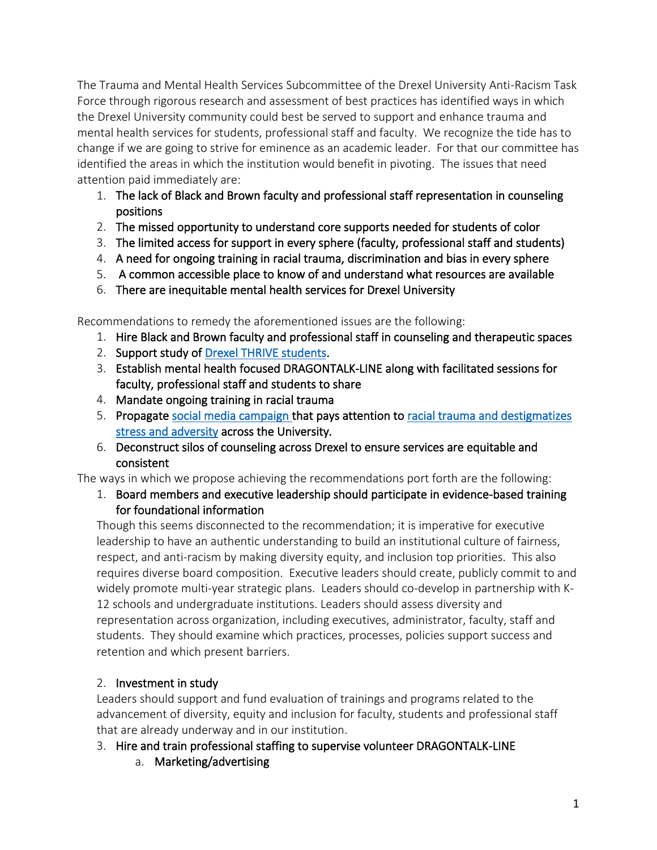The Trauma and Mental Health Services Subcommittee of the Drexel University Anti-Racism Task Force through rigorous research and assessment of best practices has identified ways in which the Drexel University community could best be served to support and enhance trauma and mental health services for students, professional staff and faculty. We recognize the tide has to change if we are going to strive for eminence as an academic leader. For that our committee has identified the areas in which the institution would benefit in pivoting. The issues that need attention paid immediately are:

- 1. The lack of Black and Brown faculty and professional staff representation in counseling positions
- 2. The missed opportunity to understand core supports needed for students of color
- 3. The limited access for support in every sphere (faculty, professional staff and students)
- 4. A need for ongoing training in racial trauma, discrimination and bias in every sphere
- 5. A common accessible place to know of and understand what resources are available
- 6. There are inequitable mental health services for Drexel University

Recommendations to remedy the aforementioned issues are the following:

- 1. Hire Black and Brown faculty and professional staff in counseling and therapeutic spaces
- 2. Support study of [Drexel THRIVE students.](applewebdata://65073AD1-CDBA-4F49-87B0-8F36D07D4B68/Thrive%20Study.pptx)
- 3. Establish mental health focused DRAGONTALK-LINE along with facilitated sessions for faculty, professional staff and students to share
- 4. Mandate ongoing training in racial trauma
- 5. Propagate [social media campaign t](https://www.youtube.com/watch?v=Wkzssx9QHAA)hat pays attention to [racial trauma and destigmatizes](https://www.wecanhealfromtrauma.org/healing)  [stress and adversity](https://www.wecanhealfromtrauma.org/healing) across the University.
- 6. Deconstruct silos of counseling across Drexel to ensure services are equitable and consistent

The ways in which we propose achieving the recommendations port forth are the following:

1. Board members and executive leadership should participate in evidence-based training for foundational information

Though this seems disconnected to the recommendation; it is imperative for executive leadership to have an authentic understanding to build an institutional culture of fairness, respect, and anti-racism by making diversity equity, and inclusion top priorities. This also requires diverse board composition. Executive leaders should create, publicly commit to and widely promote multi-year strategic plans. Leaders should co-develop in partnership with K-12 schools and undergraduate institutions. Leaders should assess diversity and representation across organization, including executives, administrator, faculty, staff and students. They should examine which practices, processes, policies support success and retention and which present barriers.

## 2. Investment in study

Leaders should support and fund evaluation of trainings and programs related to the advancement of diversity, equity and inclusion for faculty, students and professional staff that are already underway and in our institution.

- 3. Hire and train professional staffing to supervise volunteer DRAGONTALK-LINE
	- a. Marketing/advertising